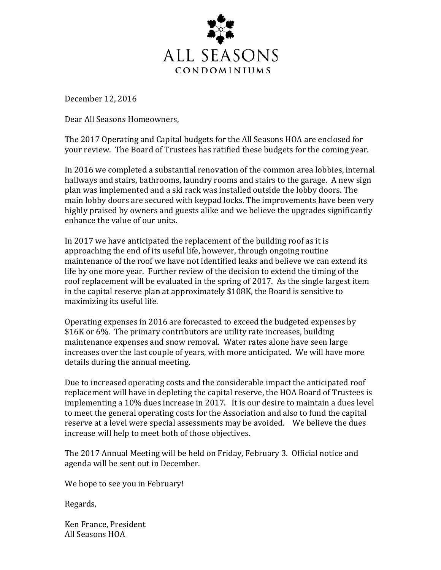

December 12, 2016

Dear All Seasons Homeowners,

The 2017 Operating and Capital budgets for the All Seasons HOA are enclosed for your review. The Board of Trustees has ratified these budgets for the coming year.

In 2016 we completed a substantial renovation of the common area lobbies, internal hallways and stairs, bathrooms, laundry rooms and stairs to the garage. A new sign plan was implemented and a ski rack was installed outside the lobby doors. The main lobby doors are secured with keypad locks. The improvements have been very highly praised by owners and guests alike and we believe the upgrades significantly enhance the value of our units.

In 2017 we have anticipated the replacement of the building roof as it is approaching the end of its useful life, however, through ongoing routine maintenance of the roof we have not identified leaks and believe we can extend its life by one more year. Further review of the decision to extend the timing of the roof replacement will be evaluated in the spring of 2017. As the single largest item in the capital reserve plan at approximately \$108K, the Board is sensitive to maximizing its useful life.

Operating expenses in 2016 are forecasted to exceed the budgeted expenses by \$16K or 6%. The primary contributors are utility rate increases, building maintenance expenses and snow removal. Water rates alone have seen large increases over the last couple of years, with more anticipated. We will have more details during the annual meeting.

Due to increased operating costs and the considerable impact the anticipated roof replacement will have in depleting the capital reserve, the HOA Board of Trustees is implementing a 10% dues increase in 2017. It is our desire to maintain a dues level to meet the general operating costs for the Association and also to fund the capital reserve at a level were special assessments may be avoided. We believe the dues increase will help to meet both of those objectives.

The 2017 Annual Meeting will be held on Friday, February 3. Official notice and agenda will be sent out in December.

We hope to see you in February!

Regards,

Ken France, President All Seasons HOA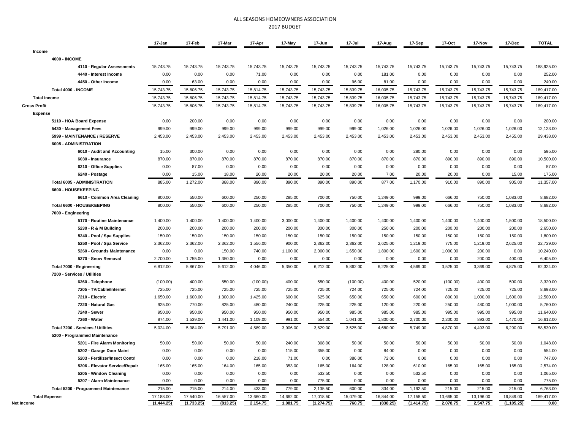## ALL SEASONS HOMEOWNERS ASSOCIATION 2017 BUDGET

|                                     | 17-Jan     | 17-Feb     | 17-Mar    | 17-Apr    | 17-May    | 17-Jun      | 17-Jul    | 17-Aug    | 17-Sep      | 17-Oct    | 17-Nov    | 17-Dec      | <b>TOTAL</b> |
|-------------------------------------|------------|------------|-----------|-----------|-----------|-------------|-----------|-----------|-------------|-----------|-----------|-------------|--------------|
| Income                              |            |            |           |           |           |             |           |           |             |           |           |             |              |
| <b>4000 - INCOME</b>                |            |            |           |           |           |             |           |           |             |           |           |             |              |
| 4110 - Regular Assessments          | 15,743.75  | 15,743.75  | 15,743.75 | 15,743.75 | 15,743.75 | 15,743.75   | 15,743.75 | 15,743.75 | 15,743.75   | 15,743.75 | 15,743.75 | 15,743.75   | 188,925.00   |
| 4440 - Interest Income              | 0.00       | 0.00       | 0.00      | 71.00     | 0.00      | 0.00        | 0.00      | 181.00    | 0.00        | 0.00      | 0.00      | 0.00        | 252.00       |
| 4450 - Other Income                 | 0.00       | 63.00      | 0.00      | 0.00      | 0.00      | 0.00        | 96.00     | 81.00     | 0.00        | 0.00      | 0.00      | 0.00        | 240.00       |
| Total 4000 - INCOME                 | 15,743.75  | 15,806.75  | 15,743.75 | 15,814.75 | 15,743.75 | 15,743.75   | 15,839.75 | 16,005.75 | 15,743.75   | 15,743.75 | 15,743.75 | 15,743.75   | 189,417.00   |
| <b>Total Income</b>                 | 15,743.75  | 15,806.75  | 15,743.75 | 15,814.75 | 15,743.75 | 15,743.75   | 15,839.75 | 16,005.75 | 15,743.75   | 15,743.75 | 15,743.75 | 15,743.75   | 189,417.00   |
| <b>Gross Profit</b>                 | 15,743.75  | 15,806.75  | 15,743.75 | 15,814.75 | 15,743.75 | 15,743.75   | 15,839.75 | 16,005.75 | 15,743.75   | 15,743.75 | 15,743.75 | 15,743.75   | 189,417.00   |
| <b>Expense</b>                      |            |            |           |           |           |             |           |           |             |           |           |             |              |
| 5110 - HOA Board Expense            | 0.00       | 200.00     | 0.00      | 0.00      | 0.00      | 0.00        | 0.00      | 0.00      | 0.00        | 0.00      | 0.00      | 0.00        | 200.00       |
| 5430 - Management Fees              | 999.00     | 999.00     | 999.00    | 999.00    | 999.00    | 999.00      | 999.00    | 1,026.00  | 1,026.00    | 1,026.00  | 1,026.00  | 1,026.00    | 12,123.00    |
| 5999 - MAINTENANCE / RESERVE        | 2,453.00   | 2,453.00   | 2,453.00  | 2,453.00  | 2,453.00  | 2,453.00    | 2,453.00  | 2,453.00  | 2,453.00    | 2,453.00  | 2,453.00  | 2,455.00    | 29,438.00    |
| 6005 - ADMINISTRATION               |            |            |           |           |           |             |           |           |             |           |           |             |              |
| 6010 - Audit and Accounting         | 15.00      | 300.00     | 0.00      | 0.00      | 0.00      | 0.00        | 0.00      | 0.00      | 280.00      | 0.00      | 0.00      | 0.00        | 595.00       |
| 6030 - Insurance                    | 870.00     | 870.00     | 870.00    | 870.00    | 870.00    | 870.00      | 870.00    | 870.00    | 870.00      | 890.00    | 890.00    | 890.00      | 10,500.00    |
| 6210 - Office Supplies              | 0.00       | 87.00      | 0.00      | 0.00      | 0.00      | 0.00        | 0.00      | 0.00      | 0.00        | 0.00      | 0.00      | 0.00        | 87.00        |
| 6240 - Postage                      | 0.00       | 15.00      | 18.00     | 20.00     | 20.00     | 20.00       | 20.00     | 7.00      | 20.00       | 20.00     | 0.00      | 15.00       | 175.00       |
| <b>Total 6005 - ADMINISTRATION</b>  | 885.00     | 1,272.00   | 888.00    | 890.00    | 890.00    | 890.00      | 890.00    | 877.00    | 1,170.00    | 910.00    | 890.00    | 905.00      | 11,357.00    |
| 6600 - HOUSEKEEPING                 |            |            |           |           |           |             |           |           |             |           |           |             |              |
| 6610 - Common Area Cleaning         | 800.00     | 550.00     | 600.00    | 250.00    | 285.00    | 700.00      | 750.00    | 1,249.00  | 999.00      | 666.00    | 750.00    | 1,083.00    | 8,682.00     |
| Total 6600 - HOUSEKEEPING           | 800.00     | 550.00     | 600.00    | 250.00    | 285.00    | 700.00      | 750.00    | 1,249.00  | 999.00      | 666.00    | 750.00    | 1,083.00    | 8,682.00     |
| 7000 - Engineering                  |            |            |           |           |           |             |           |           |             |           |           |             |              |
| 5170 - Routine Maintenance          | 1,400.00   | 1,400.00   | 1,400.00  | 1,400.00  | 3,000.00  | 1,400.00    | 1,400.00  | 1,400.00  | 1,400.00    | 1,400.00  | 1,400.00  | 1,500.00    | 18,500.00    |
| 5230 - R & M Building               | 200.00     | 200.00     | 200.00    | 200.00    | 200.00    | 300.00      | 300.00    | 250.00    | 200.00      | 200.00    | 200.00    | 200.00      | 2,650.00     |
| 5240 - Pool / Spa Supplies          | 150.00     | 150.00     | 150.00    | 150.00    | 150.00    | 150.00      | 150.00    | 150.00    | 150.00      | 150.00    | 150.00    | 150.00      | 1,800.00     |
| 5250 - Pool / Spa Service           | 2,362.00   | 2,362.00   | 2,362.00  | 1,556.00  | 900.00    | 2,362.00    | 2,362.00  | 2,625.00  | 1,219.00    | 775.00    | 1,219.00  | 2,625.00    | 22,729.00    |
| 5260 - Grounds Maintenance          | 0.00       | 0.00       | 150.00    | 740.00    | 1,100.00  | 2,000.00    | 1,650.00  | 1,800.00  | 1,600.00    | 1,000.00  | 200.00    | 0.00        | 10,240.00    |
| 5270 - Snow Removal                 | 2,700.00   | 1,755.00   | 1,350.00  | 0.00      | 0.00      | 0.00        | 0.00      | 0.00      | 0.00        | 0.00      | 200.00    | 400.00      | 6,405.00     |
| Total 7000 - Engineering            | 6,812.00   | 5,867.00   | 5,612.00  | 4,046.00  | 5,350.00  | 6,212.00    | 5,862.00  | 6,225.00  | 4,569.00    | 3,525.00  | 3,369.00  | 4,875.00    | 62,324.00    |
| 7200 - Services / Utilities         |            |            |           |           |           |             |           |           |             |           |           |             |              |
| 6260 - Telephone                    | (100.00)   | 400.00     | 550.00    | (100.00)  | 400.00    | 550.00      | (100.00)  | 400.00    | 520.00      | (100.00)  | 400.00    | 500.00      | 3,320.00     |
| 7205 - TV/Cable/Internet            | 725.00     | 725.00     | 725.00    | 725.00    | 725.00    | 725.00      | 724.00    | 725.00    | 724.00      | 725.00    | 725.00    | 725.00      | 8,698.00     |
| 7210 - Electric                     | 1,650.00   | 1,600.00   | 1,300.00  | 1,425.00  | 600.00    | 625.00      | 650.00    | 650.00    | 600.00      | 800.00    | 1,000.00  | 1,600.00    | 12,500.00    |
| 7220 - Natural Gas                  | 925.00     | 770.00     | 825.00    | 480.00    | 240.00    | 225.00      | 225.00    | 120.00    | 220.00      | 250.00    | 480.00    | 1,000.00    | 5,760.00     |
| 7240 - Sewer                        | 950.00     | 950.00     | 950.00    | 950.00    | 950.00    | 950.00      | 985.00    | 985.00    | 985.00      | 995.00    | 995.00    | 995.00      | 11,640.00    |
| 7260 - Water                        | 874.00     | 1,539.00   | 1,441.00  | 1,109.00  | 991.00    | 554.00      | 1,041.00  | 1,800.00  | 2,700.00    | 2,200.00  | 893.00    | 1,470.00    | 16,612.00    |
| Total 7200 - Services / Utilities   | 5,024.00   | 5,984.00   | 5,791.00  | 4,589.00  | 3,906.00  | 3,629.00    | 3,525.00  | 4,680.00  | 5,749.00    | 4,870.00  | 4,493.00  | 6,290.00    | 58,530.00    |
| 5200 - Programmed Maintenance       |            |            |           |           |           |             |           |           |             |           |           |             |              |
| 5201 - Fire Alarm Monitoring        | 50.00      | 50.00      | 50.00     | 50.00     | 240.00    | 308.00      | 50.00     | 50.00     | 50.00       | 50.00     | 50.00     | 50.00       | 1,048.00     |
| 5202 - Garage Door Maint            | 0.00       | 0.00       | 0.00      | 0.00      | 115.00    | 355.00      | 0.00      | 84.00     | 0.00        | 0.00      | 0.00      | 0.00        | 554.00       |
| 5203 - Fertilizer/Insect Contrl     | 0.00       | 0.00       | 0.00      | 218.00    | 71.00     | 0.00        | 386.00    | 72.00     | 0.00        | 0.00      | 0.00      | 0.00        | 747.00       |
| 5206 - Elevator Service/Repair      | 165.00     | 165.00     | 164.00    | 165.00    | 353.00    | 165.00      | 164.00    | 128.00    | 610.00      | 165.00    | 165.00    | 165.00      | 2,574.00     |
| 5205 - Window Cleaning              | 0.00       | 0.00       | 0.00      | 0.00      | 0.00      | 532.50      | 0.00      | 0.00      | 532.50      | 0.00      | 0.00      | 0.00        | 1,065.00     |
| 5207 - Alarm Maintenance            | 0.00       | 0.00       | 0.00      | 0.00      | 0.00      | 775.00      | 0.00      | 0.00      | 0.00        | 0.00      | 0.00      | 0.00        | 775.00       |
| Total 5200 - Programmed Maintenance | 215.00     | 215.00     | 214.00    | 433.00    | 779.00    | 2,135.50    | 600.00    | 334.00    | 1,192.50    | 215.00    | 215.00    | 215.00      | 6,763.00     |
| <b>Total Expense</b>                | 17,188.00  | 17,540.00  | 16,557.00 | 13,660.00 | 14,662.00 | 17,018.50   | 15,079.00 | 16,844.00 | 17,158.50   | 13,665.00 | 13,196.00 | 16,849.00   | 189,417.00   |
| Net Income                          | (1,444.25) | (1,733.25) | (813.25)  | 2,154.75  | 1,081.75  | (1, 274.75) | 760.75    | (838.25)  | (1, 414.75) | 2,078.75  | 2,547.75  | (1, 105.25) | 0.00         |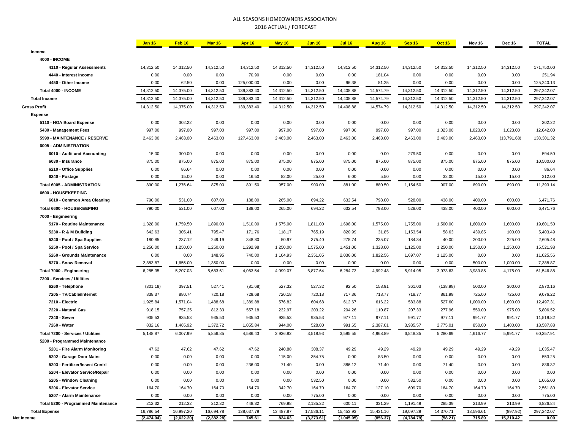## ALL SEASONS HOMEOWNERS ASSOCIATION 2016 ACTUAL / FORECAST

|                                     | <b>Jan 16</b> | Feb 16     | <b>Mar 16</b> | Apr 16     | May 16    | <b>Jun 16</b> | <b>Jul 16</b> | <b>Aug 16</b> | Sep 16     | <b>Oct 16</b> | Nov 16    | <b>Dec 16</b> | <b>TOTAL</b> |
|-------------------------------------|---------------|------------|---------------|------------|-----------|---------------|---------------|---------------|------------|---------------|-----------|---------------|--------------|
| Income                              |               |            |               |            |           |               |               |               |            |               |           |               |              |
| <b>4000 - INCOME</b>                |               |            |               |            |           |               |               |               |            |               |           |               |              |
| 4110 - Regular Assessments          | 14,312.50     | 14,312.50  | 14,312.50     | 14,312.50  | 14,312.50 | 14,312.50     | 14,312.50     | 14,312.50     | 14,312.50  | 14,312.50     | 14,312.50 | 14,312.50     | 171,750.00   |
| 4440 - Interest Income              | 0.00          | 0.00       | 0.00          | 70.90      | 0.00      | 0.00          | 0.00          | 181.04        | 0.00       | 0.00          | 0.00      | 0.00          | 251.94       |
| 4450 - Other Income                 | 0.00          | 62.50      | 0.00          | 125,000.00 | 0.00      | 0.00          | 96.38         | 81.25         | 0.00       | 0.00          | 0.00      | 0.00          | 125,240.13   |
| Total 4000 - INCOME                 | 14,312.50     | 14,375.00  | 14,312.50     | 139,383.40 | 14,312.50 | 14,312.50     | 14,408.88     | 14,574.79     | 14,312.50  | 14,312.50     | 14,312.50 | 14,312.50     | 297,242.07   |
| <b>Total Income</b>                 | 14,312.50     | 14,375.00  | 14,312.50     | 139,383.40 | 14,312.50 | 14,312.50     | 14,408.88     | 14,574.79     | 14,312.50  | 14,312.50     | 14,312.50 | 14,312.50     | 297,242.07   |
| <b>Gross Profit</b>                 | 14,312.50     | 14,375.00  | 14,312.50     | 139,383.40 | 14,312.50 | 14,312.50     | 14,408.88     | 14,574.79     | 14,312.50  | 14,312.50     | 14,312.50 | 14,312.50     | 297,242.07   |
| <b>Expense</b>                      |               |            |               |            |           |               |               |               |            |               |           |               |              |
| 5110 - HOA Board Expense            | 0.00          | 302.22     | 0.00          | 0.00       | 0.00      | 0.00          | 0.00          | 0.00          | 0.00       | 0.00          | 0.00      | 0.00          | 302.22       |
| 5430 - Management Fees              | 997.00        | 997.00     | 997.00        | 997.00     | 997.00    | 997.00        | 997.00        | 997.00        | 997.00     | 1,023.00      | 1,023.00  | 1,023.00      | 12,042.00    |
| 5999 - MAINTENANCE / RESERVE        | 2,463.00      | 2,463.00   | 2,463.00      | 127,463.00 | 2,463.00  | 2,463.00      | 2,463.00      | 2,463.00      | 2,463.00   | 2,463.00      | 2,463.00  | (13,791.68)   | 138,301.32   |
| 6005 - ADMINISTRATION               |               |            |               |            |           |               |               |               |            |               |           |               |              |
| 6010 - Audit and Accounting         | 15.00         | 300.00     | 0.00          | 0.00       | 0.00      | 0.00          | 0.00          | 0.00          | 279.50     | 0.00          | 0.00      | 0.00          | 594.50       |
| 6030 - Insurance                    | 875.00        | 875.00     | 875.00        | 875.00     | 875.00    | 875.00        | 875.00        | 875.00        | 875.00     | 875.00        | 875.00    | 875.00        | 10,500.00    |
| 6210 - Office Supplies              | 0.00          | 86.64      | 0.00          | 0.00       | 0.00      | 0.00          | 0.00          | 0.00          | 0.00       | 0.00          | 0.00      | 0.00          | 86.64        |
| 6240 - Postage                      | 0.00          | 15.00      | 0.00          | 16.50      | 82.00     | 25.00         | 6.00          | 5.50          | 0.00       | 32.00         | 15.00     | 15.00         | 212.00       |
| <b>Total 6005 - ADMINISTRATION</b>  | 890.00        | 1,276.64   | 875.00        | 891.50     | 957.00    | 900.00        | 881.00        | 880.50        | 1,154.50   | 907.00        | 890.00    | 890.00        | 11,393.14    |
| 6600 - HOUSEKEEPING                 |               |            |               |            |           |               |               |               |            |               |           |               |              |
| 6610 - Common Area Cleaning         | 790.00        | 531.00     | 607.00        | 188.00     | 265.00    | 694.22        | 632.54        | 798.00        | 528.00     | 438.00        | 400.00    | 600.00        | 6,471.76     |
| Total 6600 - HOUSEKEEPING           | 790.00        | 531.00     | 607.00        | 188.00     | 265.00    | 694.22        | 632.54        | 798.00        | 528.00     | 438.00        | 400.00    | 600.00        | 6,471.76     |
| 7000 - Engineering                  |               |            |               |            |           |               |               |               |            |               |           |               |              |
| 5170 - Routine Maintenance          | 1,328.00      | 1,759.50   | 1,890.00      | 1,510.00   | 1,575.00  | 1,811.00      | 1,698.00      | 1,575.00      | 1,755.00   | 1,500.00      | 1,600.00  | 1,600.00      | 19,601.50    |
| 5230 - R & M Building               | 642.63        | 305.41     | 795.47        | 171.76     | 118.17    | 765.19        | 820.99        | 31.85         | 1,153.54   | 58.63         | 439.85    | 100.00        | 5,403.49     |
| 5240 - Pool / Spa Supplies          | 180.85        | 237.12     | 249.19        | 348.80     | 50.97     | 375.40        | 278.74        | 235.07        | 184.34     | 40.00         | 200.00    | 225.00        | 2,605.48     |
| 5250 - Pool / Spa Service           | 1,250.00      | 1,250.00   | 1,250.00      | 1,292.98   | 1,250.00  | 1,575.00      | 1,451.00      | 1,328.00      | 1,125.00   | 1,250.00      | 1,250.00  | 1,250.00      | 15,521.98    |
| 5260 - Grounds Maintenance          | 0.00          | 0.00       | 148.95        | 740.00     | 1,104.93  | 2,351.05      | 2,036.00      | 1,822.56      | 1,697.07   | 1,125.00      | 0.00      | 0.00          | 11,025.56    |
| 5270 - Snow Removal                 | 2,883.87      | 1,655.00   | 1,350.00      | 0.00       | 0.00      | 0.00          | 0.00          | 0.00          | 0.00       | 0.00          | 500.00    | 1,000.00      | 7,388.87     |
| Total 7000 - Engineering            | 6,285.35      | 5,207.03   | 5,683.61      | 4,063.54   | 4,099.07  | 6,877.64      | 6,284.73      | 4,992.48      | 5,914.95   | 3,973.63      | 3,989.85  | 4,175.00      | 61,546.88    |
| 7200 - Services / Utilities         |               |            |               |            |           |               |               |               |            |               |           |               |              |
| 6260 - Telephone                    | (301.18)      | 397.51     | 527.41        | (81.68)    | 527.32    | 527.32        | 92.50         | 158.91        | 361.03     | (138.98)      | 500.00    | 300.00        | 2,870.16     |
| 7205 - TV/Cable/Internet            | 838.37        | 880.74     | 720.18        | 729.68     | 720.18    | 720.18        | 717.36        | 718.77        | 718.77     | 861.99        | 725.00    | 725.00        | 9,076.22     |
| 7210 - Electric                     | 1,925.84      | 1,571.04   | 1,488.68      | 1,389.88   | 576.82    | 604.68        | 612.67        | 616.22        | 583.88     | 527.60        | 1,000.00  | 1,600.00      | 12,497.31    |
| 7220 - Natural Gas                  | 918.15        | 757.25     | 812.33        | 557.18     | 232.97    | 203.22        | 204.26        | 110.87        | 207.33     | 277.96        | 550.00    | 975.00        | 5,806.52     |
| 7240 - Sewer                        | 935.53        | 935.53     | 935.53        | 935.53     | 935.53    | 935.53        | 977.11        | 977.11        | 991.77     | 977.11        | 991.77    | 991.77        | 11,519.82    |
| 7260 - Water                        | 832.16        | 1,465.92   | 1,372.72      | 1,055.84   | 944.00    | 528.00        | 991.65        | 2,387.01      | 3,985.57   | 2,775.01      | 850.00    | 1,400.00      | 18,587.88    |
| Total 7200 - Services / Utilities   | 5,148.87      | 6,007.99   | 5,856.85      | 4,586.43   | 3,936.82  | 3,518.93      | 3,595.55      | 4,968.89      | 6,848.35   | 5,280.69      | 4,616.77  | 5,991.77      | 60,357.91    |
| 5200 - Programmed Maintenance       |               |            |               |            |           |               |               |               |            |               |           |               |              |
| 5201 - Fire Alarm Monitoring        | 47.62         | 47.62      | 47.62         | 47.62      | 240.88    | 308.37        | 49.29         | 49.29         | 49.29      | 49.29         | 49.29     | 49.29         | 1,035.47     |
| 5202 - Garage Door Maint            | 0.00          | 0.00       | 0.00          | 0.00       | 115.00    | 354.75        | 0.00          | 83.50         | 0.00       | 0.00          | 0.00      | 0.00          | 553.25       |
| 5203 - Fertilizer/Insect Contrl     | 0.00          | 0.00       | 0.00          | 236.00     | 71.40     | 0.00          | 386.12        | 71.40         | 0.00       | 71.40         | 0.00      | 0.00          | 836.32       |
| 5204 - Elevator Service/Repair      | 0.00          | 0.00       | 0.00          | 0.00       | 0.00      | 0.00          | 0.00          | 0.00          | 0.00       | 0.00          | 0.00      | 0.00          | 0.00         |
| 5205 - Window Cleaning              | 0.00          | 0.00       | 0.00          | 0.00       | 0.00      | 532.50        | 0.00          | 0.00          | 532.50     | 0.00          | 0.00      | 0.00          | 1,065.00     |
| 5206 - Elevator Service             | 164.70        | 164.70     | 164.70        | 164.70     | 342.70    | 164.70        | 164.70        | 127.10        | 609.70     | 164.70        | 164.70    | 164.70        | 2,561.80     |
| 5207 - Alarm Maintenance            | 0.00          | 0.00       | 0.00          | 0.00       | 0.00      | 775.00        | 0.00          | 0.00          | 0.00       | 0.00          | 0.00      | 0.00          | 775.00       |
| Total 5200 - Programmed Maintenance | 212.32        | 212.32     | 212.32        | 448.32     | 769.98    | 2,135.32      | 600.11        | 331.29        | 1,191.49   | 285.39        | 213.99    | 213.99        | 6,826.84     |
| <b>Total Expense</b>                | 16,786.54     | 16,997.20  | 16,694.78     | 138,637.79 | 13,487.87 | 17,586.11     | 15,453.93     | 15,431.16     | 19,097.29  | 14,370.71     | 13,596.61 | (897.92)      | 297,242.07   |
| Net Income                          | (2, 474.04)   | (2,622.20) | (2, 382.28)   | 745.61     | 824.63    | (3,273.61)    | (1,045.05)    | (856.37)      | (4,784.79) | (58.21)       | 715.89    | 15,210.42     | 0.00         |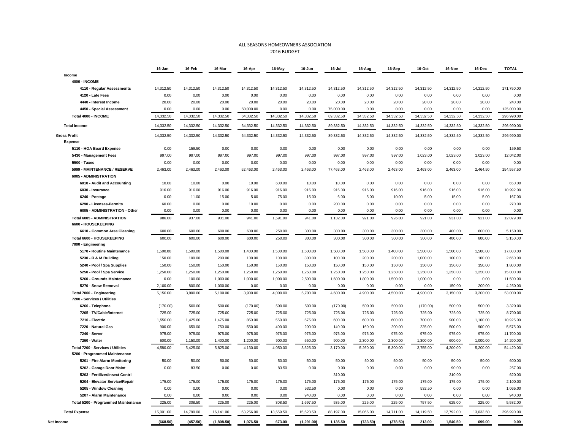#### ALL SEASONS HOMEOWNERS ASSOCIATION 2016 BUDGET

|                                                           | 16-Jan    | 16-Feb    | 16-Mar     | 16-Apr    | 16-May    | 16-Jun     | 16-Jul    | 16-Aug    | 16-Sep    | 16-Oct    | 16-Nov    | 16-Dec    | <b>TOTAL</b> |
|-----------------------------------------------------------|-----------|-----------|------------|-----------|-----------|------------|-----------|-----------|-----------|-----------|-----------|-----------|--------------|
| Income                                                    |           |           |            |           |           |            |           |           |           |           |           |           |              |
| <b>4000 - INCOME</b>                                      |           |           |            |           |           |            |           |           |           |           |           |           |              |
| 4110 - Regular Assessments                                | 14,312.50 | 14,312.50 | 14,312.50  | 14,312.50 | 14,312.50 | 14,312.50  | 14,312.50 | 14,312.50 | 14,312.50 | 14,312.50 | 14,312.50 | 14,312.50 | 171,750.00   |
| 4120 - Late Fees                                          | 0.00      | 0.00      | 0.00       | 0.00      | 0.00      | 0.00       | 0.00      | 0.00      | 0.00      | 0.00      | 0.00      | 0.00      | 0.00         |
| 4440 - Interest Income                                    | 20.00     | 20.00     | 20.00      | 20.00     | 20.00     | 20.00      | 20.00     | 20.00     | 20.00     | 20.00     | 20.00     | 20.00     | 240.00       |
| 4450 - Special Assessment                                 | 0.00      | 0.00      | 0.00       | 50,000.00 | 0.00      | 0.00       | 75,000.00 | 0.00      | 0.00      | 0.00      | 0.00      | 0.00      | 125,000.00   |
| Total 4000 - INCOME                                       | 14,332.50 | 14,332.50 | 14,332.50  | 64,332.50 | 14,332.50 | 14,332.50  | 89,332.50 | 14,332.50 | 14,332.50 | 14,332.50 | 14,332.50 | 14,332.50 | 296,990.00   |
| <b>Total Income</b>                                       | 14,332.50 | 14,332.50 | 14,332.50  | 64,332.50 | 14,332.50 | 14,332.50  | 89,332.50 | 14,332.50 | 14,332.50 | 14,332.50 | 14,332.50 | 14,332.50 | 296,990.00   |
| <b>Gross Profit</b>                                       | 14,332.50 | 14,332.50 | 14,332.50  | 64,332.50 | 14,332.50 | 14,332.50  | 89,332.50 | 14,332.50 | 14,332.50 | 14,332.50 | 14,332.50 | 14,332.50 | 296,990.00   |
| <b>Expense</b>                                            |           |           |            |           |           |            |           |           |           |           |           |           |              |
| 5110 - HOA Board Expense                                  | 0.00      | 159.50    | 0.00       | 0.00      | 0.00      | 0.00       | 0.00      | 0.00      | 0.00      | 0.00      | 0.00      | 0.00      | 159.50       |
| 5430 - Management Fees                                    | 997.00    | 997.00    | 997.00     | 997.00    | 997.00    | 997.00     | 997.00    | 997.00    | 997.00    | 1,023.00  | 1,023.00  | 1,023.00  | 12,042.00    |
| 5500 - Taxes                                              | 0.00      | 0.00      | 0.00       | 0.00      | 0.00      | 0.00       | 0.00      | 0.00      | 0.00      | 0.00      | 0.00      | 0.00      | 0.00         |
| 5999 - MAINTENANCE / RESERVE                              | 2,463.00  | 2,463.00  | 2,463.00   | 52,463.00 | 2,463.00  | 2,463.00   | 77,463.00 | 2,463.00  | 2,463.00  | 2,463.00  | 2,463.00  | 2,464.50  | 154,557.50   |
| 6005 - ADMINISTRATION                                     |           |           |            |           |           |            |           |           |           |           |           |           |              |
| 6010 - Audit and Accounting                               | 10.00     | 10.00     | 0.00       | 10.00     | 600.00    | 10.00      | 10.00     | 0.00      | 0.00      | 0.00      | 0.00      | 0.00      | 650.00       |
| 6030 - Insurance                                          | 916.00    | 916.00    | 916.00     | 916.00    | 916.00    | 916.00     | 916.00    | 916.00    | 916.00    | 916.00    | 916.00    | 916.00    | 10,992.00    |
| 6240 - Postage                                            | 0.00      | 11.00     | 15.00      | 5.00      | 75.00     | 15.00      | 6.00      | 5.00      | 10.00     | 5.00      | 15.00     | 5.00      | 167.00       |
| 6290 - Licenses-Permits                                   | 60.00     | 0.00      | 0.00       | 10.00     | 0.00      | 0.00       | 200.00    | 0.00      | 0.00      | 0.00      | 0.00      | 0.00      | 270.00       |
| 6005 - ADMINISTRATION - Other                             | 0.00      | 0.00      | 0.00       | 0.00      | 0.00      | 0.00       | 0.00      | 0.00      | 0.00      | 0.00      | 0.00      | 0.00      | 0.00         |
| <b>Total 6005 - ADMINISTRATION</b><br>6600 - HOUSEKEEPING | 986.00    | 937.00    | 931.00     | 941.00    | 1,591.00  | 941.00     | 1,132.00  | 921.00    | 926.00    | 921.00    | 931.00    | 921.00    | 12,079.00    |
| 6610 - Common Area Cleaning                               | 600.00    | 600.00    | 600.00     | 600.00    | 250.00    | 300.00     | 300.00    | 300.00    | 300.00    | 300.00    | 400.00    | 600.00    | 5,150.00     |
| Total 6600 - HOUSEKEEPING                                 | 600.00    | 600.00    | 600.00     | 600.00    | 250.00    | 300.00     | 300.00    | 300.00    | 300.00    | 300.00    | 400.00    | 600.00    | 5,150.00     |
| 7000 - Engineering                                        |           |           |            |           |           |            |           |           |           |           |           |           |              |
| 5170 - Routine Maintenance                                | 1,500.00  | 1,500.00  | 1,500.00   | 1,400.00  | 1,500.00  | 1,500.00   | 1,500.00  | 1,500.00  | 1,400.00  | 1,500.00  | 1,500.00  | 1,500.00  | 17,800.00    |
| 5230 - R & M Building                                     | 150.00    | 100.00    | 200.00     | 100.00    | 100.00    | 300.00     | 100.00    | 200.00    | 200.00    | 1,000.00  | 100.00    | 100.00    | 2,650.00     |
| 5240 - Pool / Spa Supplies                                | 150.00    | 150.00    | 150.00     | 150.00    | 150.00    | 150.00     | 150.00    | 150.00    | 150.00    | 150.00    | 150.00    | 150.00    | 1,800.00     |
| 5250 - Pool / Spa Service                                 | 1,250.00  | 1,250.00  | 1,250.00   | 1,250.00  | 1,250.00  | 1,250.00   | 1,250.00  | 1,250.00  | 1,250.00  | 1,250.00  | 1,250.00  | 1,250.00  | 15,000.00    |
| 5260 - Grounds Maintenance                                | 0.00      | 100.00    | 1,000.00   | 1,000.00  | 1,000.00  | 2,500.00   | 1,600.00  | 1,800.00  | 1,500.00  | 1,000.00  | 0.00      | 0.00      | 11,500.00    |
| 5270 - Snow Removal                                       | 2.100.00  | 800.00    | 1.000.00   | 0.00      | 0.00      | 0.00       | 0.00      | 0.00      | 0.00      | 0.00      | 150.00    | 200.00    | 4.250.00     |
| Total 7000 - Engineering                                  | 5,150.00  | 3,900.00  | 5,100.00   | 3,900.00  | 4,000.00  | 5,700.00   | 4,600.00  | 4,900.00  | 4,500.00  | 4,900.00  | 3,150.00  | 3,200.00  | 53,000.00    |
| 7200 - Services / Utilities                               |           |           |            |           |           |            |           |           |           |           |           |           |              |
| 6260 - Telephone                                          | (170.00)  | 500.00    | 500.00     | (170.00)  | 500.00    | 500.00     | (170.00)  | 500.00    | 500.00    | (170.00)  | 500.00    | 500.00    | 3,320.00     |
| 7205 - TV/Cable/Internet                                  | 725.00    | 725.00    | 725.00     | 725.00    | 725.00    | 725.00     | 725.00    | 725.00    | 725.00    | 725.00    | 725.00    | 725.00    | 8,700.00     |
| 7210 - Electric                                           | 1,550.00  | 1,425.00  | 1,475.00   | 850.00    | 550.00    | 575.00     | 600.00    | 600.00    | 600.00    | 700.00    | 900.00    | 1,100.00  | 10,925.00    |
| 7220 - Natural Gas                                        | 900.00    | 650.00    | 750.00     | 550.00    | 400.00    | 200.00     | 140.00    | 160.00    | 200.00    | 225.00    | 500.00    | 900.00    | 5,575.00     |
| 7240 - Sewer                                              | 975.00    | 975.00    | 975.00     | 975.00    | 975.00    | 975.00     | 975.00    | 975.00    | 975.00    | 975.00    | 975.00    | 975.00    | 11,700.00    |
| 7260 - Water                                              | 600.00    | 1,150.00  | 1,400.00   | 1,200.00  | 900.00    | 550.00     | 900.00    | 2,300.00  | 2,300.00  | 1,300.00  | 600.00    | 1,000.00  | 14,200.00    |
| Total 7200 - Services / Utilities                         | 4,580.00  | 5,425.00  | 5,825.00   | 4,130.00  | 4,050.00  | 3,525.00   | 3,170.00  | 5,260.00  | 5,300.00  | 3,755.00  | 4,200.00  | 5,200.00  | 54,420.00    |
| 5200 - Programmed Maintenance                             |           |           |            |           |           |            |           |           |           |           |           |           |              |
| 5201 - Fire Alarm Monitoring                              | 50.00     | 50.00     | 50.00      | 50.00     | 50.00     | 50.00      | 50.00     | 50.00     | 50.00     | 50.00     | 50.00     | 50.00     | 600.00       |
| 5202 - Garage Door Maint                                  | 0.00      | 83.50     | 0.00       | 0.00      | 83.50     | 0.00       | 0.00      | 0.00      | 0.00      | 0.00      | 90.00     | 0.00      | 257.00       |
| 5203 - Fertilizer/Insect Contri                           |           |           |            |           |           |            | 310.00    |           |           |           | 310.00    |           | 620.00       |
| 5204 - Elevator Service/Repair                            | 175.00    | 175.00    | 175.00     | 175.00    | 175.00    | 175.00     | 175.00    | 175.00    | 175.00    | 175.00    | 175.00    | 175.00    | 2,100.00     |
| 5205 - Window Cleaning                                    | 0.00      | 0.00      | 0.00       | 0.00      | 0.00      | 532.50     | 0.00      | 0.00      | 0.00      | 532.50    | 0.00      | 0.00      | 1,065.00     |
| 5207 - Alarm Maintenance                                  | 0.00      | 0.00      | 0.00       | 0.00      | 0.00      | 940.00     | 0.00      | 0.00      | 0.00      | 0.00      | 0.00      | 0.00      | 940.00       |
| Total 5200 - Programmed Maintenance                       | 225.00    | 308.50    | 225.00     | 225.00    | 308.50    | 1,697.50   | 535.00    | 225.00    | 225.00    | 757.50    | 625.00    | 225.00    | 5,582.00     |
| <b>Total Expense</b>                                      | 15,001.00 | 14,790.00 | 16,141.00  | 63,256.00 | 13,659.50 | 15,623.50  | 88,197.00 | 15,066.00 | 14,711.00 | 14,119.50 | 12,792.00 | 13,633.50 | 296,990.00   |
| Net Income                                                | (668.50)  | (457.50)  | (1,808.50) | 1,076.50  | 673.00    | (1,291.00) | 1,135.50  | (733.50)  | (378.50)  | 213.00    | 1,540.50  | 699.00    | 0.00         |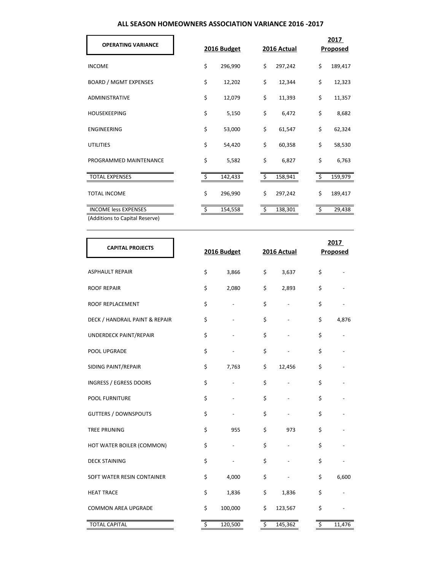# **ALL SEASON HOMEOWNERS ASSOCIATION VARIANCE 2016 -2017**

| <b>OPERATING VARIANCE</b>      | 2016 Budget   | 2016 Actual   |    | 2017<br>Proposed |
|--------------------------------|---------------|---------------|----|------------------|
| <b>INCOME</b>                  | \$<br>296,990 | \$<br>297,242 | \$ | 189,417          |
| <b>BOARD / MGMT EXPENSES</b>   | \$<br>12,202  | \$<br>12,344  | \$ | 12,323           |
| <b>ADMINISTRATIVE</b>          | \$<br>12,079  | \$<br>11,393  | \$ | 11,357           |
| <b>HOUSEKEEPING</b>            | \$<br>5,150   | \$<br>6,472   | \$ | 8,682            |
| <b>ENGINEERING</b>             | \$<br>53,000  | \$<br>61,547  | \$ | 62,324           |
| <b>UTILITIES</b>               | \$<br>54,420  | \$<br>60,358  | \$ | 58,530           |
| PROGRAMMED MAINTENANCE         | \$<br>5,582   | \$<br>6,827   | \$ | 6,763            |
| <b>TOTAL EXPENSES</b>          | 142,433       | \$<br>158,941 |    | 159,979          |
| <b>TOTAL INCOME</b>            | \$<br>296,990 | \$<br>297,242 | \$ | 189,417          |
| <b>INCOME less EXPENSES</b>    | \$<br>154,558 | \$<br>138,301 | -S | 29,438           |
| (Additions to Capital Reserve) |               |               |    |                  |

| <b>CAPITAL PROJECTS</b>        | 2016 Budget   | 2016 Actual   | 2017<br>Proposed |
|--------------------------------|---------------|---------------|------------------|
| <b>ASPHAULT REPAIR</b>         | \$<br>3,866   | \$<br>3,637   | \$               |
| <b>ROOF REPAIR</b>             | \$<br>2,080   | \$<br>2,893   | \$               |
| ROOF REPLACEMENT               | \$            | \$            | \$               |
| DECK / HANDRAIL PAINT & REPAIR | \$            | \$            | \$<br>4,876      |
| UNDERDECK PAINT/REPAIR         | \$            | \$            | \$               |
| POOL UPGRADE                   | \$            | \$            | \$               |
| SIDING PAINT/REPAIR            | \$<br>7,763   | \$<br>12,456  | \$               |
| <b>INGRESS / EGRESS DOORS</b>  | \$            | \$            | \$               |
| <b>POOL FURNITURE</b>          | \$            | \$            | \$               |
| <b>GUTTERS / DOWNSPOUTS</b>    | \$            | \$            | \$               |
| <b>TREE PRUNING</b>            | \$<br>955     | \$<br>973     | \$               |
| HOT WATER BOILER (COMMON)      | \$            | \$            | \$               |
| <b>DECK STAINING</b>           | \$            | \$            | \$               |
| SOFT WATER RESIN CONTAINER     | \$<br>4,000   | \$            | \$<br>6,600      |
| <b>HEAT TRACE</b>              | \$<br>1,836   | \$<br>1,836   | \$               |
| <b>COMMON AREA UPGRADE</b>     | \$<br>100,000 | \$<br>123,567 | \$               |
| <b>TOTAL CAPITAL</b>           | \$<br>120,500 | \$<br>145,362 | \$<br>11,476     |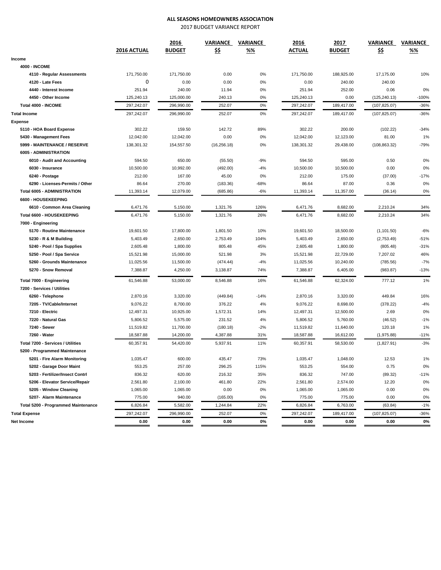# **ALL SEASONS HOMEOWNERS ASSOCIATION**

2017 BUDGET VARIANCE REPORT

|                                     |             | 2016          | VARIANCE     | VARIANCE | 2016          | 2017          | <b>VARIANCE</b> | VARIANCE |  |
|-------------------------------------|-------------|---------------|--------------|----------|---------------|---------------|-----------------|----------|--|
|                                     | 2016 ACTUAL | <b>BUDGET</b> | <u>\$\$</u>  | %%       | <b>ACTUAL</b> | <b>BUDGET</b> | <u>\$\$</u>     | %%       |  |
| Income                              |             |               |              |          |               |               |                 |          |  |
| <b>4000 - INCOME</b>                |             |               |              |          |               |               |                 |          |  |
| 4110 - Regular Assessments          | 171,750.00  | 171,750.00    | 0.00         | 0%       | 171,750.00    | 188,925.00    | 17,175.00       | 10%      |  |
| 4120 - Late Fees                    | 0           | 0.00          | 0.00         | 0%       | 0.00          | 240.00        | 240.00          |          |  |
| 4440 - Interest Income              | 251.94      | 240.00        | 11.94        | 0%       | 251.94        | 252.00        | 0.06            | 0%       |  |
| 4450 - Other Income                 | 125,240.13  | 125,000.00    | 240.13       | 0%       | 125,240.13    | 0.00          | (125, 240.13)   | $-100%$  |  |
| Total 4000 - INCOME                 | 297,242.07  | 296,990.00    | 252.07       | $0\%$    | 297,242.07    | 189,417.00    | (107, 825.07)   | $-36%$   |  |
| <b>Total Income</b>                 | 297,242.07  | 296,990.00    | 252.07       | $0\%$    | 297,242.07    | 189,417.00    | (107, 825.07)   | $-36%$   |  |
| <b>Expense</b>                      |             |               |              |          |               |               |                 |          |  |
| 5110 - HOA Board Expense            | 302.22      | 159.50        | 142.72       | 89%      | 302.22        | 200.00        | (102.22)        | $-34%$   |  |
| 5430 - Management Fees              | 12,042.00   | 12,042.00     | 0.00         | 0%       | 12,042.00     | 12,123.00     | 81.00           | 1%       |  |
| 5999 - MAINTENANCE / RESERVE        | 138,301.32  | 154,557.50    | (16, 256.18) | 0%       | 138,301.32    | 29,438.00     | (108, 863.32)   | $-79%$   |  |
| 6005 - ADMINISTRATION               |             |               |              |          |               |               |                 |          |  |
| 6010 - Audit and Accounting         | 594.50      | 650.00        | (55.50)      | $-9%$    | 594.50        | 595.00        | 0.50            | 0%       |  |
| 6030 - Insurance                    | 10,500.00   | 10,992.00     | (492.00)     | $-4%$    | 10,500.00     | 10,500.00     | 0.00            | 0%       |  |
| 6240 - Postage                      | 212.00      | 167.00        | 45.00        | 0%       | 212.00        | 175.00        | (37.00)         | $-17%$   |  |
| 6290 - Licenses-Permits / Other     | 86.64       | 270.00        | (183.36)     | -68%     | 86.64         | 87.00         | 0.36            | 0%       |  |
| <b>Total 6005 - ADMINISTRATION</b>  | 11,393.14   | 12,079.00     | (685.86)     | $-6%$    | 11,393.14     | 11,357.00     | (36.14)         | 0%       |  |
| 6600 - HOUSEKEEPING                 |             |               |              |          |               |               |                 |          |  |
| 6610 - Common Area Cleaning         | 6,471.76    | 5,150.00      | 1,321.76     | 126%     | 6,471.76      | 8,682.00      | 2,210.24        | 34%      |  |
| Total 6600 - HOUSEKEEPING           | 6,471.76    | 5,150.00      | 1,321.76     | 26%      | 6,471.76      | 8,682.00      | 2,210.24        | 34%      |  |
| 7000 - Engineering                  |             |               |              |          |               |               |                 |          |  |
| 5170 - Routine Maintenance          | 19,601.50   | 17,800.00     | 1,801.50     | 10%      | 19,601.50     | 18,500.00     | (1, 101.50)     | $-6%$    |  |
| 5230 - R & M Building               | 5,403.49    | 2,650.00      | 2,753.49     | 104%     | 5,403.49      | 2,650.00      | (2,753.49)      | $-51%$   |  |
| 5240 - Pool / Spa Supplies          | 2,605.48    | 1,800.00      | 805.48       | 45%      | 2,605.48      | 1,800.00      | (805.48)        | $-31%$   |  |
| 5250 - Pool / Spa Service           | 15,521.98   | 15,000.00     | 521.98       | 3%       | 15,521.98     | 22,729.00     | 7,207.02        | 46%      |  |
| 5260 - Grounds Maintenance          | 11,025.56   | 11,500.00     | (474.44)     | $-4%$    | 11,025.56     | 10,240.00     | (785.56)        | $-7%$    |  |
| 5270 - Snow Removal                 | 7,388.87    | 4,250.00      | 3,138.87     | 74%      | 7,388.87      | 6,405.00      | (983.87)        | $-13%$   |  |
| Total 7000 - Engineering            | 61,546.88   | 53,000.00     | 8,546.88     | 16%      | 61,546.88     | 62,324.00     | 777.12          | 1%       |  |
| 7200 - Services / Utilities         |             |               |              |          |               |               |                 |          |  |
| 6260 - Telephone                    | 2,870.16    | 3,320.00      | (449.84)     | $-14%$   | 2,870.16      | 3,320.00      | 449.84          | 16%      |  |
| 7205 - TV/Cable/Internet            | 9,076.22    | 8,700.00      | 376.22       | 4%       | 9,076.22      | 8,698.00      | (378.22)        | $-4%$    |  |
| 7210 - Electric                     | 12,497.31   | 10,925.00     | 1,572.31     | 14%      | 12,497.31     | 12,500.00     | 2.69            | 0%       |  |
| 7220 - Natural Gas                  | 5,806.52    | 5,575.00      | 231.52       | 4%       | 5,806.52      | 5,760.00      | (46.52)         | $-1%$    |  |
| 7240 - Sewer                        | 11,519.82   | 11,700.00     | (180.18)     | $-2%$    | 11,519.82     | 11,640.00     | 120.18          | 1%       |  |
| 7260 - Water                        | 18,587.88   | 14,200.00     | 4,387.88     | 31%      | 18,587.88     | 16,612.00     | (1,975.88)      | $-11%$   |  |
| Total 7200 - Services / Utilities   | 60.357.91   | 54,420.00     | 5,937.91     | 11%      | 60,357.91     | 58,530.00     | (1,827.91)      | $-3%$    |  |
| 5200 - Programmed Maintenance       |             |               |              |          |               |               |                 |          |  |
| 5201 - Fire Alarm Monitoring        | 1,035.47    | 600.00        | 435.47       | 73%      | 1,035.47      | 1,048.00      | 12.53           | 1%       |  |
| 5202 - Garage Door Maint            | 553.25      | 257.00        | 296.25       | 115%     | 553.25        | 554.00        | 0.75            | 0%       |  |
| 5203 - Fertilizer/Insect Contrl     | 836.32      | 620.00        | 216.32       | 35%      | 836.32        | 747.00        | (89.32)         | $-11%$   |  |
| 5206 - Elevator Service/Repair      | 2,561.80    | 2,100.00      | 461.80       | 22%      | 2,561.80      | 2,574.00      | 12.20           | 0%       |  |
| 5205 - Window Cleaning              | 1,065.00    | 1,065.00      | 0.00         | 0%       | 1,065.00      | 1,065.00      | 0.00            | 0%       |  |
| 5207- Alarm Maintenance             | 775.00      | 940.00        | (165.00)     | 0%       | 775.00        | 775.00        | 0.00            | $0\%$    |  |
| Total 5200 - Programmed Maintenance | 6,826.84    | 5,582.00      | 1,244.84     | 22%      | 6,826.84      | 6,763.00      | (63.84)         | $-1%$    |  |
| <b>Total Expense</b>                | 297,242.07  | 296,990.00    | 252.07       | $0\%$    | 297,242.07    | 189,417.00    | (107, 825.07)   | $-36%$   |  |
| Net Income                          | 0.00        | 0.00          | 0.00         | 0%       | 0.00          | 0.00          | 0.00            | 0%       |  |